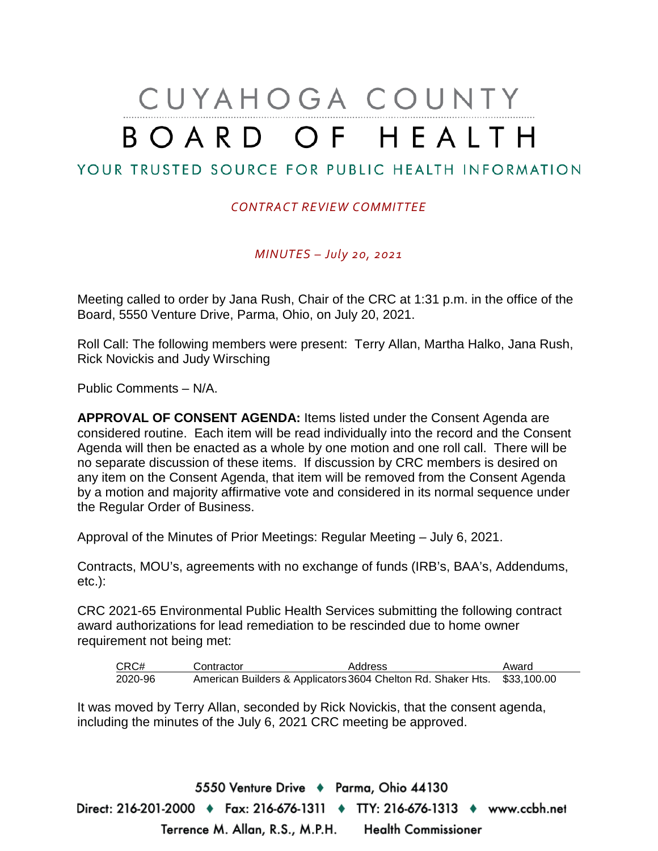# CUYAHOGA COUNTY BOARD OF HEALTH

## YOUR TRUSTED SOURCE FOR PUBLIC HEALTH INFORMATION

#### *CONTRACT REVIEW COMMITTEE*

*MINUTES – July 20, 2021*

Meeting called to order by Jana Rush, Chair of the CRC at 1:31 p.m. in the office of the Board, 5550 Venture Drive, Parma, Ohio, on July 20, 2021.

Roll Call: The following members were present: Terry Allan, Martha Halko, Jana Rush, Rick Novickis and Judy Wirsching

Public Comments – N/A.

**APPROVAL OF CONSENT AGENDA:** Items listed under the Consent Agenda are considered routine. Each item will be read individually into the record and the Consent Agenda will then be enacted as a whole by one motion and one roll call. There will be no separate discussion of these items. If discussion by CRC members is desired on any item on the Consent Agenda, that item will be removed from the Consent Agenda by a motion and majority affirmative vote and considered in its normal sequence under the Regular Order of Business.

Approval of the Minutes of Prior Meetings: Regular Meeting – July 6, 2021.

Contracts, MOU's, agreements with no exchange of funds (IRB's, BAA's, Addendums, etc.):

CRC 2021-65 Environmental Public Health Services submitting the following contract award authorizations for lead remediation to be rescinded due to home owner requirement not being met:

| CRC#    | Contractor                                                               | Address | Award |
|---------|--------------------------------------------------------------------------|---------|-------|
| 2020-96 | American Builders & Applicators 3604 Chelton Rd. Shaker Hts. \$33,100.00 |         |       |

It was moved by Terry Allan, seconded by Rick Novickis, that the consent agenda, including the minutes of the July 6, 2021 CRC meeting be approved.

5550 Venture Drive + Parma, Ohio 44130 Direct: 216-201-2000 ♦ Fax: 216-676-1311 ♦ TTY: 216-676-1313 ♦ www.ccbh.net Terrence M. Allan, R.S., M.P.H. Health Commissioner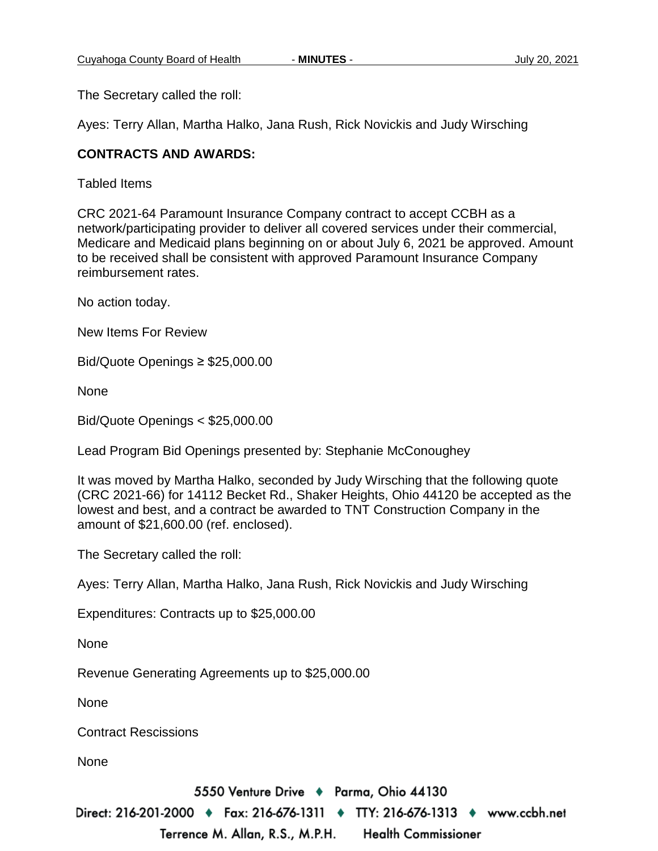The Secretary called the roll:

Ayes: Terry Allan, Martha Halko, Jana Rush, Rick Novickis and Judy Wirsching

### **CONTRACTS AND AWARDS:**

Tabled Items

CRC 2021-64 Paramount Insurance Company contract to accept CCBH as a network/participating provider to deliver all covered services under their commercial, Medicare and Medicaid plans beginning on or about July 6, 2021 be approved. Amount to be received shall be consistent with approved Paramount Insurance Company reimbursement rates.

No action today.

New Items For Review

Bid/Quote Openings ≥ \$25,000.00

None

Bid/Quote Openings < \$25,000.00

Lead Program Bid Openings presented by: Stephanie McConoughey

It was moved by Martha Halko, seconded by Judy Wirsching that the following quote (CRC 2021-66) for 14112 Becket Rd., Shaker Heights, Ohio 44120 be accepted as the lowest and best, and a contract be awarded to TNT Construction Company in the amount of \$21,600.00 (ref. enclosed).

The Secretary called the roll:

Ayes: Terry Allan, Martha Halko, Jana Rush, Rick Novickis and Judy Wirsching

Expenditures: Contracts up to \$25,000.00

None

Revenue Generating Agreements up to \$25,000.00

None

Contract Rescissions

None

5550 Venture Drive + Parma, Ohio 44130

Direct: 216-201-2000 ♦ Fax: 216-676-1311 ♦ TTY: 216-676-1313 ♦ www.ccbh.net

Terrence M. Allan, R.S., M.P.H. **Health Commissioner**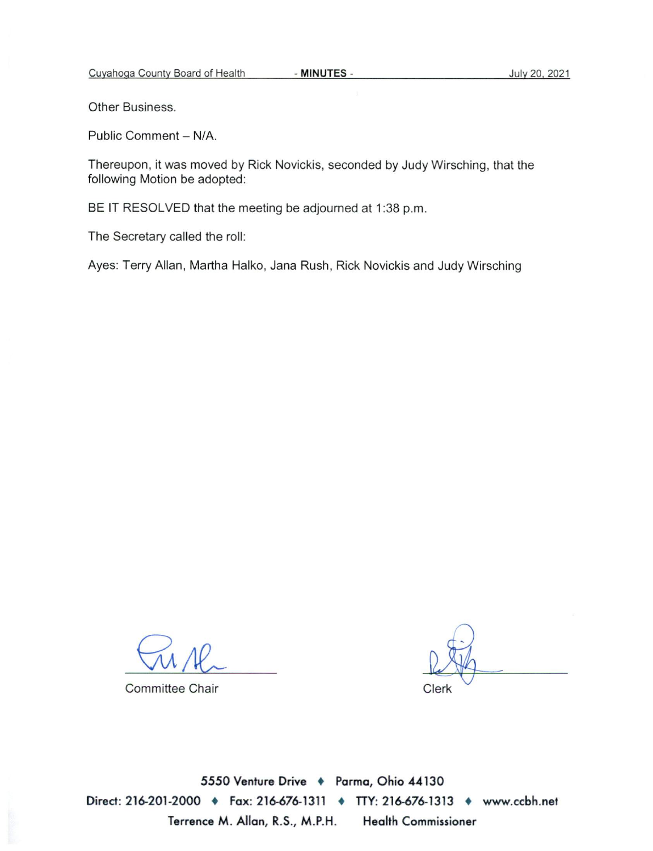Other Business.

Public Comment - N/A.

Thereupon, it was moved by Rick Novickis, seconded by Judy Wirsching, that the following Motion be adopted:

BE IT RESOLVED that the meeting be adjourned at 1:38 p.m.

The Secretary called the roll:

Ayes: Terry Allan, Martha Halko, Jana Rush, Rick Novickis and Judy Wirsching

**Committee Chair** 

Clerk

5550 Venture Drive + Parma, Ohio 44130 Direct: 216-201-2000 • Fax: 216-676-1311 • TTY: 216-676-1313 • www.ccbh.net Terrence M. Allan, R.S., M.P.H. **Health Commissioner**